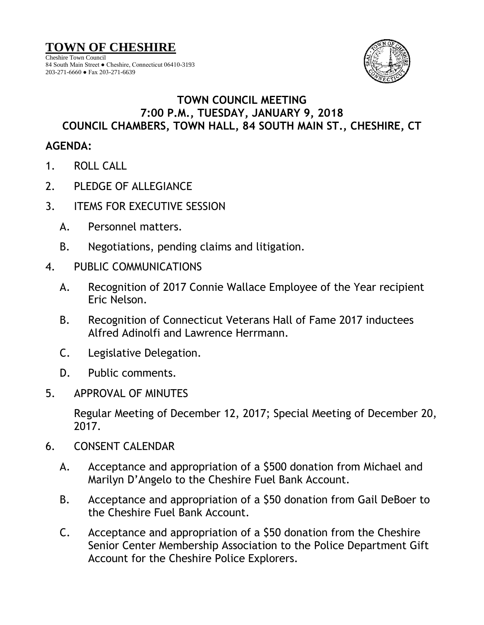Cheshire Town Council 84 South Main Street ● Cheshire, Connecticut 06410-3193 203-271-6660 ● Fax 203-271-6639



## **TOWN COUNCIL MEETING 7:00 P.M., TUESDAY, JANUARY 9, 2018 COUNCIL CHAMBERS, TOWN HALL, 84 SOUTH MAIN ST., CHESHIRE, CT**

## **AGENDA:**

- 1. ROLL CALL
- 2. PLEDGE OF ALLEGIANCE
- 3. ITEMS FOR EXECUTIVE SESSION
	- A. Personnel matters.
	- B. Negotiations, pending claims and litigation.
- 4. PUBLIC COMMUNICATIONS
	- A. Recognition of 2017 Connie Wallace Employee of the Year recipient Eric Nelson.
	- B. Recognition of Connecticut Veterans Hall of Fame 2017 inductees Alfred Adinolfi and Lawrence Herrmann.
	- C. Legislative Delegation.
	- D. Public comments.
- 5. APPROVAL OF MINUTES

Regular Meeting of December 12, 2017; Special Meeting of December 20, 2017.

- 6. CONSENT CALENDAR
	- A. Acceptance and appropriation of a \$500 donation from Michael and Marilyn D'Angelo to the Cheshire Fuel Bank Account.
	- B. Acceptance and appropriation of a \$50 donation from Gail DeBoer to the Cheshire Fuel Bank Account.
	- C. Acceptance and appropriation of a \$50 donation from the Cheshire Senior Center Membership Association to the Police Department Gift Account for the Cheshire Police Explorers.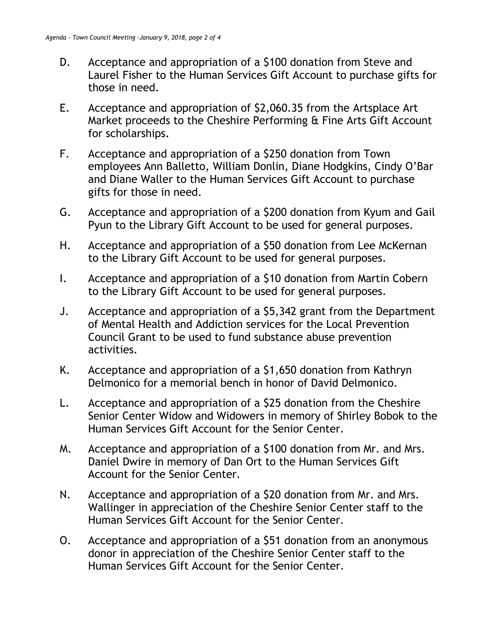- D. Acceptance and appropriation of a \$100 donation from Steve and Laurel Fisher to the Human Services Gift Account to purchase gifts for those in need.
- E. Acceptance and appropriation of \$2,060.35 from the Artsplace Art Market proceeds to the Cheshire Performing & Fine Arts Gift Account for scholarships.
- F. Acceptance and appropriation of a \$250 donation from Town employees Ann Balletto, William Donlin, Diane Hodgkins, Cindy O'Bar and Diane Waller to the Human Services Gift Account to purchase gifts for those in need.
- G. Acceptance and appropriation of a \$200 donation from Kyum and Gail Pyun to the Library Gift Account to be used for general purposes.
- H. Acceptance and appropriation of a \$50 donation from Lee McKernan to the Library Gift Account to be used for general purposes.
- I. Acceptance and appropriation of a \$10 donation from Martin Cobern to the Library Gift Account to be used for general purposes.
- J. Acceptance and appropriation of a \$5,342 grant from the Department of Mental Health and Addiction services for the Local Prevention Council Grant to be used to fund substance abuse prevention activities.
- K. Acceptance and appropriation of a \$1,650 donation from Kathryn Delmonico for a memorial bench in honor of David Delmonico.
- L. Acceptance and appropriation of a \$25 donation from the Cheshire Senior Center Widow and Widowers in memory of Shirley Bobok to the Human Services Gift Account for the Senior Center.
- M. Acceptance and appropriation of a \$100 donation from Mr. and Mrs. Daniel Dwire in memory of Dan Ort to the Human Services Gift Account for the Senior Center.
- N. Acceptance and appropriation of a \$20 donation from Mr. and Mrs. Wallinger in appreciation of the Cheshire Senior Center staff to the Human Services Gift Account for the Senior Center.
- O. Acceptance and appropriation of a \$51 donation from an anonymous donor in appreciation of the Cheshire Senior Center staff to the Human Services Gift Account for the Senior Center.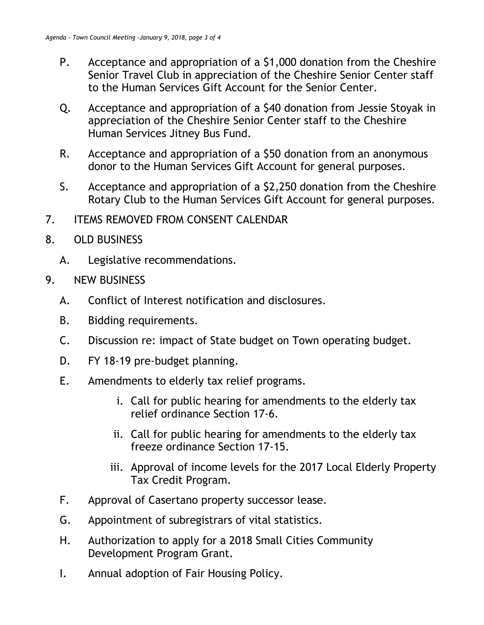- P. Acceptance and appropriation of a \$1,000 donation from the Cheshire Senior Travel Club in appreciation of the Cheshire Senior Center staff to the Human Services Gift Account for the Senior Center.
- Q. Acceptance and appropriation of a \$40 donation from Jessie Stoyak in appreciation of the Cheshire Senior Center staff to the Cheshire Human Services Jitney Bus Fund.
- R. Acceptance and appropriation of a \$50 donation from an anonymous donor to the Human Services Gift Account for general purposes.
- S. Acceptance and appropriation of a \$2,250 donation from the Cheshire Rotary Club to the Human Services Gift Account for general purposes.
- 7. ITEMS REMOVED FROM CONSENT CALENDAR
- 8. OLD BUSINESS
	- A. Legislative recommendations.
- 9. NEW BUSINESS
	- A. Conflict of Interest notification and disclosures.
	- B. Bidding requirements.
	- C. Discussion re: impact of State budget on Town operating budget.
	- D. FY 18-19 pre-budget planning.
	- E. Amendments to elderly tax relief programs.
		- i. Call for public hearing for amendments to the elderly tax relief ordinance Section 17-6.
		- ii. Call for public hearing for amendments to the elderly tax freeze ordinance Section 17-15.
		- iii. Approval of income levels for the 2017 Local Elderly Property Tax Credit Program.
	- F. Approval of Casertano property successor lease.
	- G. Appointment of subregistrars of vital statistics.
	- H. Authorization to apply for a 2018 Small Cities Community Development Program Grant.
	- I. Annual adoption of Fair Housing Policy.